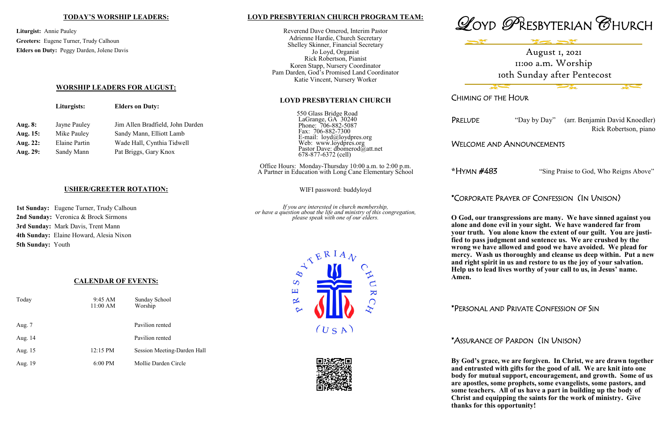#### **LOYD PRESBYTERIAN CHURCH PROGRAM TEAM:**

Reverend Dave Omerod, Interim Pastor Adrienne Hardie, Church Secretary Shelley Skinner, Financial Secretary Jo Loyd, Organist Rick Robertson, Pianist Koren Stapp, Nursery Coordinator Pam Darden, God's Promised Land Coordinator Katie Vincent, Nursery Worker

#### **LOYD PRESBYTERIAN CHURCH**

550 Glass Bridge Road LaGrange, GA 30240 Phone: 706-882-5087 Fax: 706-882-7300 E-mail: loyd@loydpres.org Web: www.loydpres.org Pastor Dave: dbomerod@att.net 678-877-6372 (cell)

PRELUDE "Day by Day" (arr. Benjamin David Knoedler) Rick Robertson, piano

Office Hours: Monday-Thursday 10:00 a.m. to 2:00 p.m. A Partner in Education with Long Cane Elementary School

WIFI password: buddyloyd

*If you are interested in church membership, or have a question about the life and ministry of this congregation, please speak with one of our elders.*









CHIMING OF THE HOUR

### WELCOME AND ANNOUNCEMENTS

**\***HYMN #483 "Sing Praise to God, Who Reigns Above"

# \*CORPORATE PRAYER OF CONFESSION (IN UNISON)

**O God, our transgressions are many. We have sinned against you alone and done evil in your sight. We have wandered far from your truth. You alone know the extent of our guilt. You are justified to pass judgment and sentence us. We are crushed by the wrong we have allowed and good we have avoided. We plead for mercy. Wash us thoroughly and cleanse us deep within. Put a new and right spirit in us and restore to us the joy of your salvation. Help us to lead lives worthy of your call to us, in Jesus' name.** 

**Amen.**

\*PERSONAL AND PRIVATE CONFESSION OF SIN

## \*ASSURANCE OF PARDON (IN UNISON)

**By God's grace, we are forgiven. In Christ, we are drawn together and entrusted with gifts for the good of all. We are knit into one body for mutual support, encouragement, and growth. Some of us are apostles, some prophets, some evangelists, some pastors, and some teachers. All of us have a part in building up the body of Christ and equipping the saints for the work of ministry. Give thanks for this opportunity!**

#### **TODAY'S WORSHIP LEADERS:**

**Liturgist:** Annie Pauley **Greeters:** Eugene Turner, Trudy Calhoun **Elders on Duty:** Peggy Darden, Jolene Davis

#### **WORSHIP LEADERS FOR AUGUST:**

|          | Liturgists:   | <b>Elders on Duty:</b>           |
|----------|---------------|----------------------------------|
| Aug. 8:  | Jayne Pauley  | Jim Allen Bradfield, John Darden |
| Aug. 15: | Mike Pauley   | Sandy Mann, Elliott Lamb         |
| Aug. 22: | Elaine Partin | Wade Hall, Cynthia Tidwell       |
| Aug. 29: | Sandy Mann    | Pat Briggs, Gary Knox            |
|          |               |                                  |

### **USHER/GREETER ROTATION:**

**1st Sunday:** Eugene Turner, Trudy Calhoun **2nd Sunday:** Veronica & Brock Sirmons **3rd Sunday:** Mark Davis, Trent Mann **4th Sunday:** Elaine Howard, Alesia Nixon **5th Sunday:** Youth

#### **CALENDAR OF EVENTS:**

| Today   | 9:45 AM<br>11:00 AM | Sunday School<br>Worship    |
|---------|---------------------|-----------------------------|
| Aug. 7  |                     | Pavilion rented             |
| Aug. 14 |                     | Pavilion rented             |
| Aug. 15 | $12:15 \text{ PM}$  | Session Meeting-Darden Hall |
| Aug. 19 | $6:00$ PM           | Mollie Darden Circle        |

August 1, 2021 11:00 a.m. Worship 10th Sunday after Pentecost